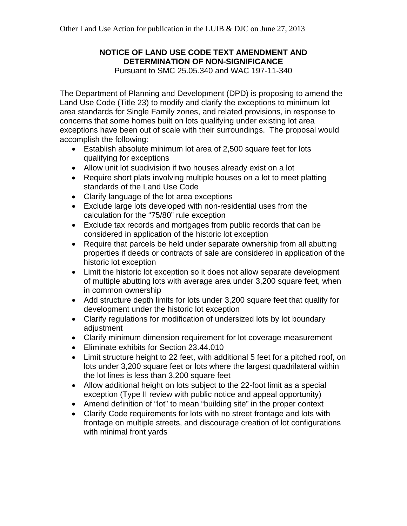# **NOTICE OF LAND USE CODE TEXT AMENDMENT AND DETERMINATION OF NON-SIGNIFICANCE**

Pursuant to SMC 25.05.340 and WAC 197-11-340

The Department of Planning and Development (DPD) is proposing to amend the Land Use Code (Title 23) to modify and clarify the exceptions to minimum lot area standards for Single Family zones, and related provisions, in response to concerns that some homes built on lots qualifying under existing lot area exceptions have been out of scale with their surroundings. The proposal would accomplish the following:

- Establish absolute minimum lot area of 2,500 square feet for lots qualifying for exceptions
- Allow unit lot subdivision if two houses already exist on a lot
- Require short plats involving multiple houses on a lot to meet platting standards of the Land Use Code
- Clarify language of the lot area exceptions
- Exclude large lots developed with non-residential uses from the calculation for the "75/80" rule exception
- Exclude tax records and mortgages from public records that can be considered in application of the historic lot exception
- Require that parcels be held under separate ownership from all abutting properties if deeds or contracts of sale are considered in application of the historic lot exception
- Limit the historic lot exception so it does not allow separate development of multiple abutting lots with average area under 3,200 square feet, when in common ownership
- Add structure depth limits for lots under 3,200 square feet that qualify for development under the historic lot exception
- Clarify regulations for modification of undersized lots by lot boundary adjustment
- Clarify minimum dimension requirement for lot coverage measurement
- Eliminate exhibits for Section 23.44.010
- Limit structure height to 22 feet, with additional 5 feet for a pitched roof, on lots under 3,200 square feet or lots where the largest quadrilateral within the lot lines is less than 3,200 square feet
- Allow additional height on lots subject to the 22-foot limit as a special exception (Type II review with public notice and appeal opportunity)
- Amend definition of "lot" to mean "building site" in the proper context
- Clarify Code requirements for lots with no street frontage and lots with frontage on multiple streets, and discourage creation of lot configurations with minimal front yards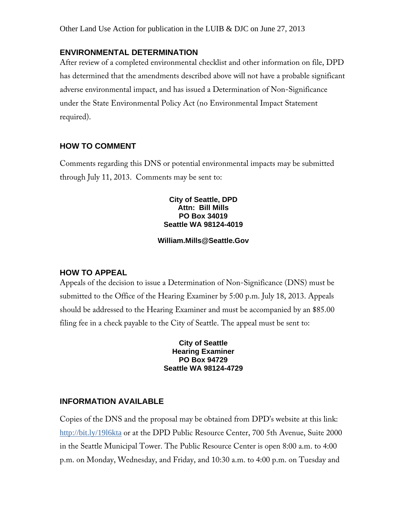# **ENVIRONMENTAL DETERMINATION**

After review of a completed environmental checklist and other information on file, DPD has determined that the amendments described above will not have a probable significant adverse environmental impact, and has issued a Determination of Non-Significance under the State Environmental Policy Act (no Environmental Impact Statement required).

## **HOW TO COMMENT**

Comments regarding this DNS or potential environmental impacts may be submitted through July 11, 2013. Comments may be sent to:

#### **City of Seattle, DPD Attn: Bill Mills PO Box 34019 Seattle WA 98124-4019**

#### **William.Mills@Seattle.Gov**

## **HOW TO APPEAL**

Appeals of the decision to issue a Determination of Non-Significance (DNS) must be submitted to the Office of the Hearing Examiner by 5:00 p.m. July 18, 2013. Appeals should be addressed to the Hearing Examiner and must be accompanied by an \$85.00 filing fee in a check payable to the City of Seattle. The appeal must be sent to:

> **City of Seattle Hearing Examiner PO Box 94729 Seattle WA 98124-4729**

#### **INFORMATION AVAILABLE**

Copies of the DNS and the proposal may be obtained from DPD's website at this link: http://bit.ly/19l6kta or at the DPD Public Resource Center, 700 5th Avenue, Suite 2000 in the Seattle Municipal Tower. The Public Resource Center is open 8:00 a.m. to 4:00 p.m. on Monday, Wednesday, and Friday, and 10:30 a.m. to 4:00 p.m. on Tuesday and